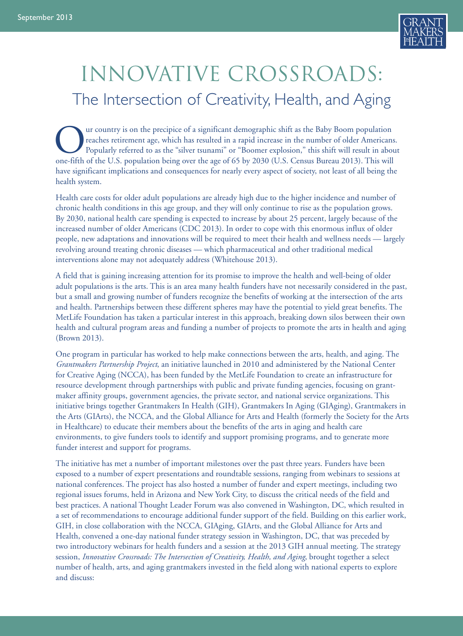

# innovative crossroads: The Intersection of Creativity, Health, and Aging

ur country is on the precipice of a significant demographic shift as the Baby Boom population reaches retirement age, which has resulted in a rapid increase in the number of older Americans. Popularly referred to as the "silver tsunami" or "Boomer explosion," this shift will result in about one-fifth of the U.S. population being over the age of 65 by 2030 (U.S. Census Bureau 2013). This will have significant implications and consequences for nearly every aspect of society, not least of all being the health system.

Health care costs for older adult populations are already high due to the higher incidence and number of chronic health conditions in this age group, and they will only continue to rise as the population grows. By 2030, national health care spending is expected to increase by about 25 percent, largely because of the increased number of older Americans (CDC 2013). In order to cope with this enormous influx of older people, new adaptations and innovations will be required to meet their health and wellness needs — largely revolving around treating chronic diseases — which pharmaceutical and other traditional medical interventions alone may not adequately address (Whitehouse 2013).

A field that is gaining increasing attention for its promise to improve the health and well-being of older adult populations is the arts. This is an area many health funders have not necessarily considered in the past, but a small and growing number of funders recognize the benefits of working at the intersection of the arts and health. Partnerships between these different spheres may have the potential to yield great benefits. The MetLife Foundation has taken a particular interest in this approach, breaking down silos between their own health and cultural program areas and funding a number of projects to promote the arts in health and aging (Brown 2013).

One program in particular has worked to help make connections between the arts, health, and aging. The *Grantmakers Partnership Project*, an initiative launched in 2010 and administered by the National Center for Creative Aging (NCCA), has been funded by the MetLife Foundation to create an infrastructure for resource development through partnerships with public and private funding agencies, focusing on grantmaker affinity groups, government agencies, the private sector, and national service organizations. This initiative brings together Grantmakers In Health (GIH), Grantmakers In Aging (GIAging), Grantmakers in the Arts (GIArts), the NCCA, and the Global Alliance for Arts and Health (formerly the Society for the Arts in Healthcare) to educate their members about the benefits of the arts in aging and health care environments, to give funders tools to identify and support promising programs, and to generate more funder interest and support for programs.

The initiative has met a number of important milestones over the past three years. Funders have been exposed to a number of expert presentations and roundtable sessions, ranging from webinars to sessions at national conferences. The project has also hosted a number of funder and expert meetings, including two regional issues forums, held in Arizona and New York City, to discuss the critical needs of the field and best practices. A national Thought Leader Forum was also convened in Washington, DC, which resulted in a set of recommendations to encourage additional funder support of the field. Building on this earlier work, GIH, in close collaboration with the NCCA, GIAging, GIArts, and the Global Alliance for Arts and Health, convened a one-day national funder strategy session in Washington, DC, that was preceded by two introductory webinars for health funders and a session at the 2013 GIH annual meeting. The strategy session, *Innovative Crossroads: The Intersection of Creativity, Health, and Aging*, brought together a select number of health, arts, and aging grantmakers invested in the field along with national experts to explore and discuss: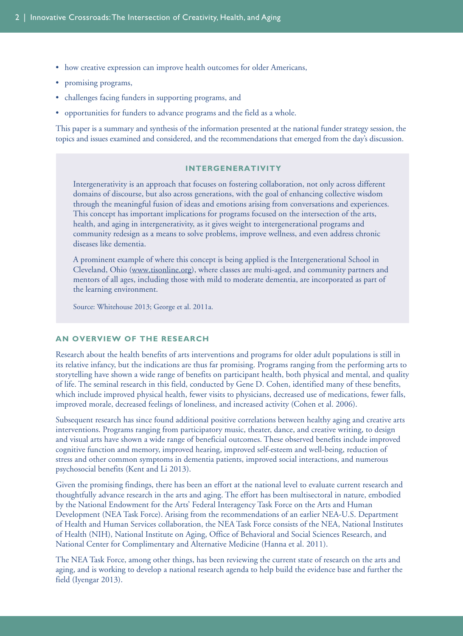- how creative expression can improve health outcomes for older Americans,
- promising programs,
- challenges facing funders in supporting programs, and
- opportunities for funders to advance programs and the field as a whole.

This paper is a summary and synthesis of the information presented at the national funder strategy session, the topics and issues examined and considered, and the recommendations that emerged from the day's discussion.

## **INTERGENERATIVITY**

Intergenerativity is an approach that focuses on fostering collaboration, not only across different domains of discourse, but also across generations, with the goal of enhancing collective wisdom through the meaningful fusion of ideas and emotions arising from conversations and experiences. This concept has important implications for programs focused on the intersection of the arts, health, and aging in intergenerativity, as it gives weight to intergenerational programs and community redesign as a means to solve problems, improve wellness, and even address chronic diseases like dementia.

A prominent example of where this concept is being applied is the Intergenerational School in Cleveland, Ohio [\(www.tisonline.org\)](www.tisonline.org), where classes are multi-aged, and community partners and mentors of all ages, including those with mild to moderate dementia, are incorporated as part of the learning environment.

Source: Whitehouse 2013; George et al. 2011a.

#### **AN OVERVIEW OF THE RESEARCH**

Research about the health benefits of arts interventions and programs for older adult populations is still in its relative infancy, but the indications are thus far promising. Programs ranging from the performing arts to storytelling have shown a wide range of benefits on participant health, both physical and mental, and quality of life. The seminal research in this field, conducted by Gene D. Cohen, identified many of these benefits, which include improved physical health, fewer visits to physicians, decreased use of medications, fewer falls, improved morale, decreased feelings of loneliness, and increased activity (Cohen et al. 2006).

Subsequent research has since found additional positive correlations between healthy aging and creative arts interventions. Programs ranging from participatory music, theater, dance, and creative writing, to design and visual arts have shown a wide range of beneficial outcomes. These observed benefits include improved cognitive function and memory, improved hearing, improved self-esteem and well-being, reduction of stress and other common symptoms in dementia patients, improved social interactions, and numerous psychosocial benefits (Kent and Li 2013).

Given the promising findings, there has been an effort at the national level to evaluate current research and thoughtfully advance research in the arts and aging. The effort has been multisectoral in nature, embodied by the National Endowment for the Arts' Federal Interagency Task Force on the Arts and Human Development (NEA Task Force). Arising from the recommendations of an earlier NEA-U.S. Department of Health and Human Services collaboration, the NEA Task Force consists of the NEA, National Institutes of Health (NIH), National Institute on Aging, Office of Behavioral and Social Sciences Research, and National Center for Complimentary and Alternative Medicine (Hanna et al. 2011).

The NEA Task Force, among other things, has been reviewing the current state of research on the arts and aging, and is working to develop a national research agenda to help build the evidence base and further the field (Iyengar 2013).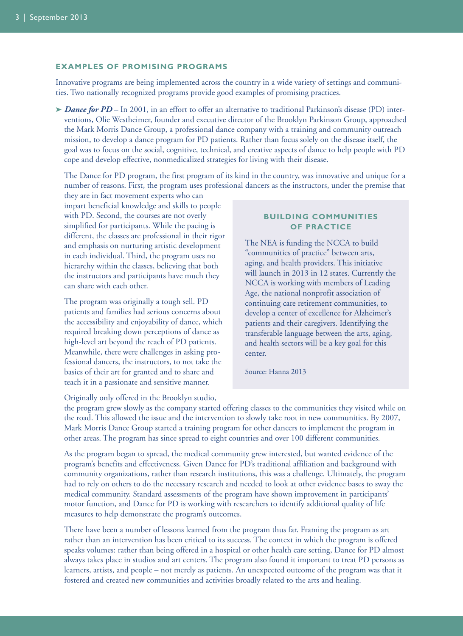## **EXAMPLES OF PROMISING PROGRAMS**

Innovative programs are being implemented across the country in a wide variety of settings and communities. Two nationally recognized programs provide good examples of promising practices.

**➤** *Dance for PD* – In 2001, in an effort to offer an alternative to traditional Parkinson's disease (PD) interventions, Olie Westheimer, founder and executive director of the Brooklyn Parkinson Group, approached the Mark Morris Dance Group, a professional dance company with a training and community outreach mission, to develop a dance program for PD patients. Rather than focus solely on the disease itself, the goal was to focus on the social, cognitive, technical, and creative aspects of dance to help people with PD cope and develop effective, nonmedicalized strategies for living with their disease.

The Dance for PD program, the first program of its kind in the country, was innovative and unique for a number of reasons. First, the program uses professional dancers as the instructors, under the premise that

they are in fact movement experts who can impart beneficial knowledge and skills to people with PD. Second, the courses are not overly simplified for participants. While the pacing is different, the classes are professional in their rigor and emphasis on nurturing artistic development in each individual. Third, the program uses no hierarchy within the classes, believing that both the instructors and participants have much they can share with each other.

The program was originally a tough sell. PD patients and families had serious concerns about the accessibility and enjoyability of dance, which required breaking down perceptions of dance as high-level art beyond the reach of PD patients. Meanwhile, there were challenges in asking professional dancers, the instructors, to not take the basics of their art for granted and to share and teach it in a passionate and sensitive manner.

## **BUILDING COMMUNITIES OF PRACTICE**

The NEA is funding the NCCA to build "communities of practice" between arts, aging, and health providers. This initiative will launch in 2013 in 12 states. Currently the NCCA is working with members of Leading Age, the national nonprofit association of continuing care retirement communities, to develop a center of excellence for Alzheimer's patients and their caregivers. Identifying the transferable language between the arts, aging, and health sectors will be a key goal for this center.

Source: Hanna 2013

Originally only offered in the Brooklyn studio,

the program grew slowly as the company started offering classes to the communities they visited while on the road. This allowed the issue and the intervention to slowly take root in new communities. By 2007, Mark Morris Dance Group started a training program for other dancers to implement the program in other areas. The program has since spread to eight countries and over 100 different communities.

As the program began to spread, the medical community grew interested, but wanted evidence of the program's benefits and effectiveness. Given Dance for PD's traditional affiliation and background with community organizations, rather than research institutions, this was a challenge. Ultimately, the program had to rely on others to do the necessary research and needed to look at other evidence bases to sway the medical community. Standard assessments of the program have shown improvement in participants' motor function, and Dance for PD is working with researchers to identify additional quality of life measures to help demonstrate the program's outcomes.

There have been a number of lessons learned from the program thus far. Framing the program as art rather than an intervention has been critical to its success. The context in which the program is offered speaks volumes: rather than being offered in a hospital or other health care setting, Dance for PD almost always takes place in studios and art centers. The program also found it important to treat PD persons as learners, artists, and people – not merely as patients. An unexpected outcome of the program was that it fostered and created new communities and activities broadly related to the arts and healing.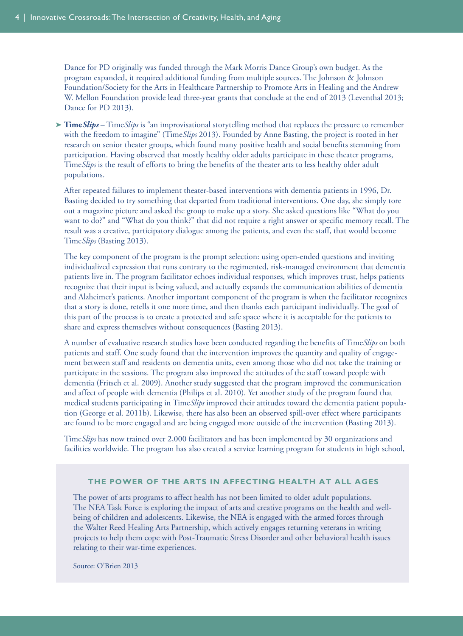Dance for PD originally was funded through the Mark Morris Dance Group's own budget. As the program expanded, it required additional funding from multiple sources. The Johnson & Johnson Foundation/Society for the Arts in Healthcare Partnership to Promote Arts in Healing and the Andrew W. Mellon Foundation provide lead three-year grants that conclude at the end of 2013 (Leventhal 2013; Dance for PD 2013).

**➤ Time***Slips* – Time*Slips* is "an improvisational storytelling method that replaces the pressure to remember with the freedom to imagine" (Time*Slips* 2013). Founded by Anne Basting, the project is rooted in her research on senior theater groups, which found many positive health and social benefits stemming from participation. Having observed that mostly healthy older adults participate in these theater programs, Time*Slips* is the result of efforts to bring the benefits of the theater arts to less healthy older adult populations.

After repeated failures to implement theater-based interventions with dementia patients in 1996, Dr. Basting decided to try something that departed from traditional interventions. One day, she simply tore out a magazine picture and asked the group to make up a story. She asked questions like "What do you want to do?" and "What do you think?" that did not require a right answer or specific memory recall. The result was a creative, participatory dialogue among the patients, and even the staff, that would become Time*Slips* (Basting 2013).

The key component of the program is the prompt selection: using open-ended questions and inviting individualized expression that runs contrary to the regimented, risk-managed environment that dementia patients live in. The program facilitator echoes individual responses, which improves trust, helps patients recognize that their input is being valued, and actually expands the communication abilities of dementia and Alzheimer's patients. Another important component of the program is when the facilitator recognizes that a story is done, retells it one more time, and then thanks each participant individually. The goal of this part of the process is to create a protected and safe space where it is acceptable for the patients to share and express themselves without consequences (Basting 2013).

A number of evaluative research studies have been conducted regarding the benefits of Time*Slips* on both patients and staff. One study found that the intervention improves the quantity and quality of engagement between staff and residents on dementia units, even among those who did not take the training or participate in the sessions. The program also improved the attitudes of the staff toward people with dementia (Fritsch et al. 2009). Another study suggested that the program improved the communication and affect of people with dementia (Philips et al. 2010). Yet another study of the program found that medical students participating in Time*Slips* improved their attitudes toward the dementia patient population (George et al. 2011b). Likewise, there has also been an observed spill-over effect where participants are found to be more engaged and are being engaged more outside of the intervention (Basting 2013).

Time*Slips* has now trained over 2,000 facilitators and has been implemented by 30 organizations and facilities worldwide. The program has also created a service learning program for students in high school,

## **THE POWER OF THE ARTS IN AFFECTING HEALTH AT ALL AGES**

The power of arts programs to affect health has not been limited to older adult populations. The NEA Task Force is exploring the impact of arts and creative programs on the health and wellbeing of children and adolescents. Likewise, the NEA is engaged with the armed forces through the Walter Reed Healing Arts Partnership, which actively engages returning veterans in writing projects to help them cope with Post-Traumatic Stress Disorder and other behavioral health issues relating to their war-time experiences.

Source: O'Brien 2013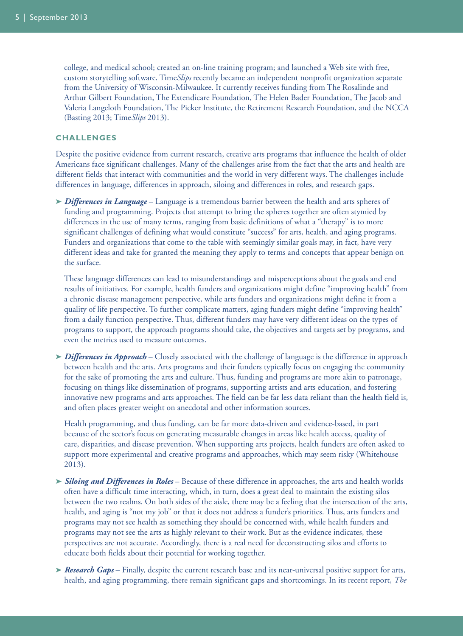college, and medical school; created an on-line training program; and launched a Web site with free, custom storytelling software. Time*Slips* recently became an independent nonprofit organization separate from the University of Wisconsin-Milwaukee. It currently receives funding from The Rosalinde and Arthur Gilbert Foundation, The Extendicare Foundation, The Helen Bader Foundation, The Jacob and Valeria Langeloth Foundation, The Picker Institute, the Retirement Research Foundation, and the NCCA (Basting 2013; Time*Slips* 2013).

#### **CHALLENGES**

Despite the positive evidence from current research, creative arts programs that influence the health of older Americans face significant challenges. Many of the challenges arise from the fact that the arts and health are different fields that interact with communities and the world in very different ways. The challenges include differences in language, differences in approach, siloing and differences in roles, and research gaps.

**➤** *Differences in Language* – Language is a tremendous barrier between the health and arts spheres of funding and programming. Projects that attempt to bring the spheres together are often stymied by differences in the use of many terms, ranging from basic definitions of what a "therapy" is to more significant challenges of defining what would constitute "success" for arts, health, and aging programs. Funders and organizations that come to the table with seemingly similar goals may, in fact, have very different ideas and take for granted the meaning they apply to terms and concepts that appear benign on the surface.

These language differences can lead to misunderstandings and misperceptions about the goals and end results of initiatives. For example, health funders and organizations might define "improving health" from a chronic disease management perspective, while arts funders and organizations might define it from a quality of life perspective. To further complicate matters, aging funders might define "improving health" from a daily function perspective. Thus, different funders may have very different ideas on the types of programs to support, the approach programs should take, the objectives and targets set by programs, and even the metrics used to measure outcomes.

**➤** *Differences in Approach* – Closely associated with the challenge of language is the difference in approach between health and the arts. Arts programs and their funders typically focus on engaging the community for the sake of promoting the arts and culture. Thus, funding and programs are more akin to patronage, focusing on things like dissemination of programs, supporting artists and arts education, and fostering innovative new programs and arts approaches. The field can be far less data reliant than the health field is, and often places greater weight on anecdotal and other information sources.

Health programming, and thus funding, can be far more data-driven and evidence-based, in part because of the sector's focus on generating measurable changes in areas like health access, quality of care, disparities, and disease prevention. When supporting arts projects, health funders are often asked to support more experimental and creative programs and approaches, which may seem risky (Whitehouse 2013).

- **➤** *Siloing and Differences in Roles* Because of these difference in approaches, the arts and health worlds often have a difficult time interacting, which, in turn, does a great deal to maintain the existing silos between the two realms. On both sides of the aisle, there may be a feeling that the intersection of the arts, health, and aging is "not my job" or that it does not address a funder's priorities. Thus, arts funders and programs may not see health as something they should be concerned with, while health funders and programs may not see the arts as highly relevant to their work. But as the evidence indicates, these perspectives are not accurate. Accordingly, there is a real need for deconstructing silos and efforts to educate both fields about their potential for working together.
- **➤** *Research Gaps* Finally, despite the current research base and its near-universal positive support for arts, health, and aging programming, there remain significant gaps and shortcomings. In its recent report, *The*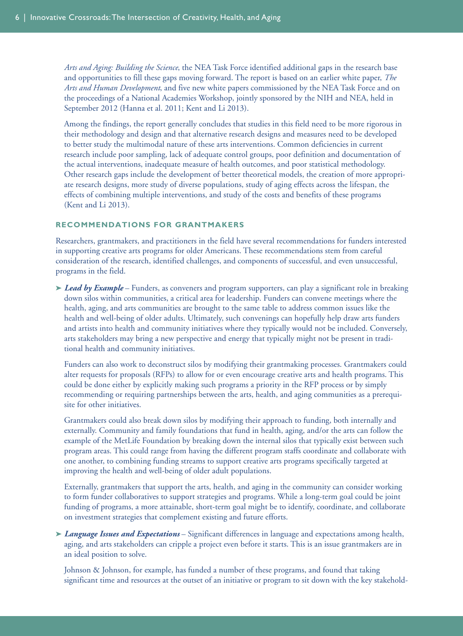*Arts and Aging: Building the Science*, the NEA Task Force identified additional gaps in the research base and opportunities to fill these gaps moving forward. The report is based on an earlier white paper, *The Arts and Human Development*, and five new white papers commissioned by the NEA Task Force and on the proceedings of a National Academies Workshop, jointly sponsored by the NIH and NEA, held in September 2012 (Hanna et al. 2011; Kent and Li 2013).

Among the findings, the report generally concludes that studies in this field need to be more rigorous in their methodology and design and that alternative research designs and measures need to be developed to better study the multimodal nature of these arts interventions. Common deficiencies in current research include poor sampling, lack of adequate control groups, poor definition and documentation of the actual interventions, inadequate measure of health outcomes, and poor statistical methodology. Other research gaps include the development of better theoretical models, the creation of more appropriate research designs, more study of diverse populations, study of aging effects across the lifespan, the effects of combining multiple interventions, and study of the costs and benefits of these programs (Kent and Li 2013).

# **RECOMMENDATIONS FOR GRANTMAKERS**

Researchers, grantmakers, and practitioners in the field have several recommendations for funders interested in supporting creative arts programs for older Americans. These recommendations stem from careful consideration of the research, identified challenges, and components of successful, and even unsuccessful, programs in the field.

**➤** *Lead by Example* – Funders, as conveners and program supporters, can play a significant role in breaking down silos within communities, a critical area for leadership. Funders can convene meetings where the health, aging, and arts communities are brought to the same table to address common issues like the health and well-being of older adults. Ultimately, such convenings can hopefully help draw arts funders and artists into health and community initiatives where they typically would not be included. Conversely, arts stakeholders may bring a new perspective and energy that typically might not be present in traditional health and community initiatives.

Funders can also work to deconstruct silos by modifying their grantmaking processes. Grantmakers could alter requests for proposals (RFPs) to allow for or even encourage creative arts and health programs. This could be done either by explicitly making such programs a priority in the RFP process or by simply recommending or requiring partnerships between the arts, health, and aging communities as a prerequisite for other initiatives.

Grantmakers could also break down silos by modifying their approach to funding, both internally and externally. Community and family foundations that fund in health, aging, and/or the arts can follow the example of the MetLife Foundation by breaking down the internal silos that typically exist between such program areas. This could range from having the different program staffs coordinate and collaborate with one another, to combining funding streams to support creative arts programs specifically targeted at improving the health and well-being of older adult populations.

Externally, grantmakers that support the arts, health, and aging in the community can consider working to form funder collaboratives to support strategies and programs. While a long-term goal could be joint funding of programs, a more attainable, short-term goal might be to identify, coordinate, and collaborate on investment strategies that complement existing and future efforts.

**➤** *Language Issues and Expectations* – Significant differences in language and expectations among health, aging, and arts stakeholders can cripple a project even before it starts. This is an issue grantmakers are in an ideal position to solve.

Johnson & Johnson, for example, has funded a number of these programs, and found that taking significant time and resources at the outset of an initiative or program to sit down with the key stakehold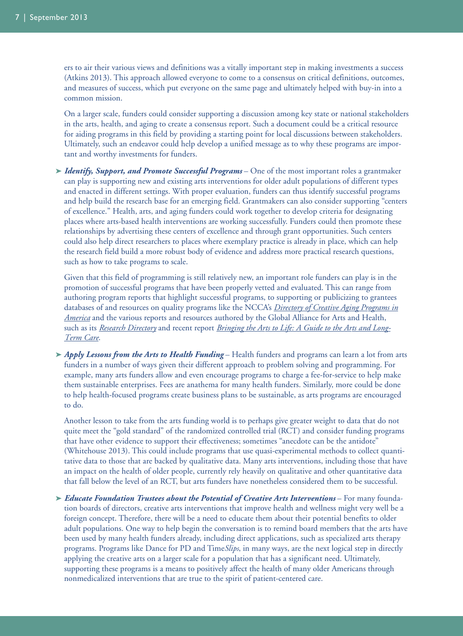ers to air their various views and definitions was a vitally important step in making investments a success (Atkins 2013). This approach allowed everyone to come to a consensus on critical definitions, outcomes, and measures of success, which put everyone on the same page and ultimately helped with buy-in into a common mission.

On a larger scale, funders could consider supporting a discussion among key state or national stakeholders in the arts, health, and aging to create a consensus report. Such a document could be a critical resource for aiding programs in this field by providing a starting point for local discussions between stakeholders. Ultimately, such an endeavor could help develop a unified message as to why these programs are important and worthy investments for funders.

**➤** *Identify, Support, and Promote Successful Programs* – One of the most important roles a grantmaker can play is supporting new and existing arts interventions for older adult populations of different types and enacted in different settings. With proper evaluation, funders can thus identify successful programs and help build the research base for an emerging field. Grantmakers can also consider supporting "centers of excellence." Health, arts, and aging funders could work together to develop criteria for designating places where arts-based health interventions are working successfully. Funders could then promote these relationships by advertising these centers of excellence and through grant opportunities. Such centers could also help direct researchers to places where exemplary practice is already in place, which can help the research field build a more robust body of evidence and address more practical research questions, such as how to take programs to scale.

Given that this field of programming is still relatively new, an important role funders can play is in the promotion of successful programs that have been properly vetted and evaluated. This can range from authoring program reports that highlight successful programs, to supporting or publicizing to grantees databases of and resources on quality programs like the NCCA's *Directory of Creative [Aging Programs in](http://www.creativeaging.org/programs-people/cad) [America](http://www.creativeaging.org/programs-people/cad)* and the various reports and resources authored by the Global Alliance for Arts and Health, such as its *[Research Directory](http://www.thesah.org/resources/research.cfm)* and recent report *[Bringing the Arts to Life: A Guide to the Arts and Long-](http://www.thesah.org/doc/Bringing_the_Arts_to_Life_ebook.pdf)[Term](http://www.thesah.org/doc/Bringing_the_Arts_to_Life_ebook.pdf) Care*.

**➤** *Apply Lessons from the Arts to Health Funding* – Health funders and programs can learn a lot from arts funders in a number of ways given their different approach to problem solving and programming. For example, many arts funders allow and even encourage programs to charge a fee-for-service to help make them sustainable enterprises. Fees are anathema for many health funders. Similarly, more could be done to help health-focused programs create business plans to be sustainable, as arts programs are encouraged to do.

Another lesson to take from the arts funding world is to perhaps give greater weight to data that do not quite meet the "gold standard" of the randomized controlled trial (RCT) and consider funding programs that have other evidence to support their effectiveness; sometimes "anecdote can be the antidote" (Whitehouse 2013). This could include programs that use quasi-experimental methods to collect quantitative data to those that are backed by qualitative data. Many arts interventions, including those that have an impact on the health of older people, currently rely heavily on qualitative and other quantitative data that fall below the level of an RCT, but arts funders have nonetheless considered them to be successful.

**➤** *Educate Foundation Trustees about the Potential of Creative Arts Interventions* – For many foundation boards of directors, creative arts interventions that improve health and wellness might very well be a foreign concept. Therefore, there will be a need to educate them about their potential benefits to older adult populations. One way to help begin the conversation is to remind board members that the arts have been used by many health funders already, including direct applications, such as specialized arts therapy programs. Programs like Dance for PD and Time*Slips*, in many ways, are the next logical step in directly applying the creative arts on a larger scale for a population that has a significant need. Ultimately, supporting these programs is a means to positively affect the health of many older Americans through nonmedicalized interventions that are true to the spirit of patient-centered care.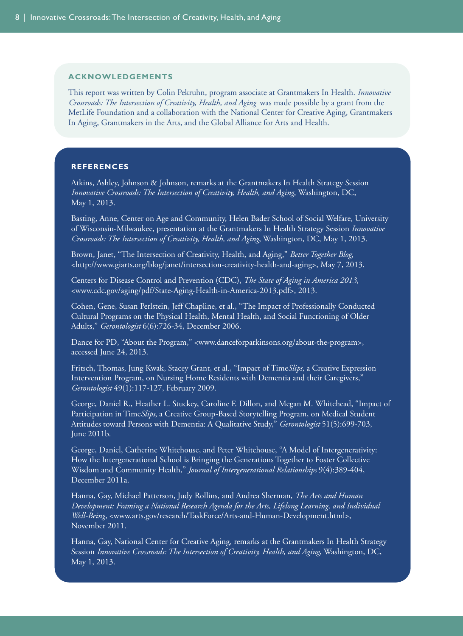#### **ACKNOWLEDGEMENTS**

This report was written by Colin Pekruhn, program associate at Grantmakers In Health. *Innovative Crossroads: The Intersection of Creativity, Health, and Aging* was made possible by a grant from the MetLife Foundation and a collaboration with the National Center for Creative Aging, Grantmakers In Aging, Grantmakers in the Arts, and the Global Alliance for Arts and Health.

#### **REFERENCES**

Atkins, Ashley, Johnson & Johnson, remarks at the Grantmakers In Health Strategy Session *Innovative Crossroads: The Intersection of Creativity, Health, and Aging*, Washington, DC, May 1, 2013.

Basting, Anne, Center on Age and Community, Helen Bader School of Social Welfare, University of Wisconsin-Milwaukee, presentation at the Grantmakers In Health Strategy Session *Innovative Crossroads: The Intersection of Creativity, Health, and Aging*, Washington, DC, May 1, 2013.

Brown, Janet, "The Intersection of Creativity, Health, and Aging," *Better Together Blog*, <http://www.giarts.org/blog/janet/intersection-creativity-health-and-aging>, May 7, 2013.

Centers for Disease Control and Prevention (CDC), *The State of Aging in America 2013*, <www.cdc.gov/aging/pdf/State-Aging-Health-in-America-2013.pdf>, 2013.

Cohen, Gene, Susan Perlstein, Jeff Chapline, et al., "The Impact of Professionally Conducted Cultural Programs on the Physical Health, Mental Health, and Social Functioning of Older Adults," *Gerontologist* 6(6):726-34, December 2006.

Dance for PD, "About the Program," <www.danceforparkinsons.org/about-the-program>, accessed June 24, 2013.

Fritsch, Thomas, Jung Kwak, Stacey Grant, et al., "Impact of Time*Slips*, a Creative Expression Intervention Program, on Nursing Home Residents with Dementia and their Caregivers," *Gerontologist* 49(1):117-127, February 2009.

George, Daniel R., Heather L. Stuckey, Caroline F. Dillon, and Megan M. Whitehead, "Impact of Participation in Time*Slips*, a Creative Group-Based Storytelling Program, on Medical Student Attitudes toward Persons with Dementia: A Qualitative Study," *Gerontologist* 51(5):699-703, June 2011b.

George, Daniel, Catherine Whitehouse, and Peter Whitehouse, "A Model of Intergenerativity: How the Intergenerational School is Bringing the Generations Together to Foster Collective Wisdom and Community Health," *Journal of Intergenerational Relationships* 9(4):389-404, December 2011a.

Hanna, Gay, Michael Patterson, Judy Rollins, and Andrea Sherman, *The Arts and Human Development: Framing a National Research Agenda for the Arts, Lifelong Learning, and Individual Well-Being*, <www.arts.gov/research/TaskForce/Arts-and-Human-Development.html>, November 2011.

Hanna, Gay, National Center for Creative Aging, remarks at the Grantmakers In Health Strategy Session *Innovative Crossroads: The Intersection of Creativity, Health, and Aging*, Washington, DC, May 1, 2013.